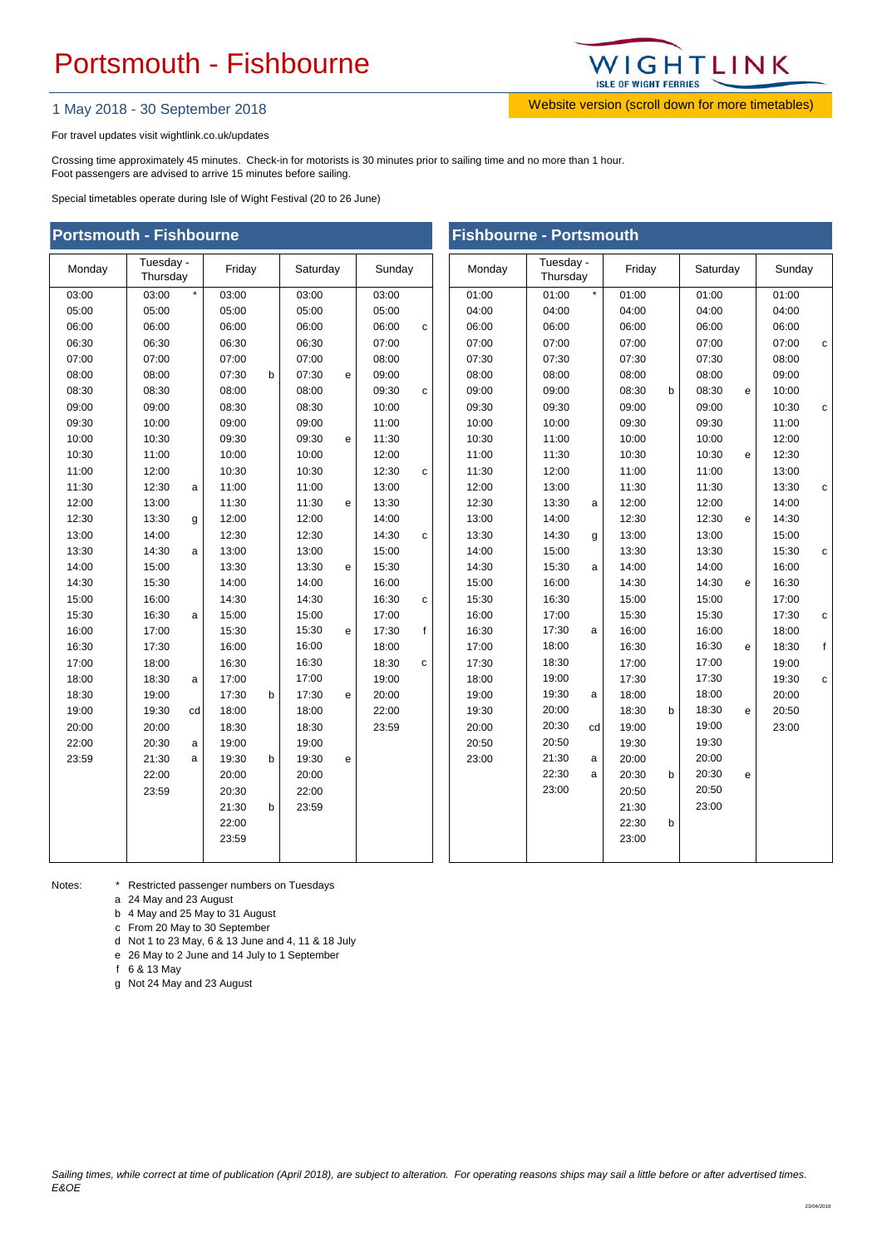## Portsmouth - Fishbourne



1 May 2018 - 30 September 2018 Website version (scroll down for more timetables)

For travel updates visit wightlink.co.uk/updates

Crossing time approximately 45 minutes. Check-in for motorists is 30 minutes prior to sailing time and no more than 1 hour. Foot passengers are advised to arrive 15 minutes before sailing.

Special timetables operate during Isle of Wight Festival (20 to 26 June)

| <b>Portsmouth - Fishbourne</b> |                       |         |        |   |          |              |        | <b>Fishbourne - Portsmouth</b> |        |                       |         |        |   |          |   |        |  |
|--------------------------------|-----------------------|---------|--------|---|----------|--------------|--------|--------------------------------|--------|-----------------------|---------|--------|---|----------|---|--------|--|
| Monday                         | Tuesday -<br>Thursday |         | Friday |   | Saturday |              | Sunday |                                | Monday | Tuesday -<br>Thursday |         | Friday |   | Saturday |   | Sunday |  |
| 03:00                          | 03:00                 | $\star$ | 03:00  |   | 03:00    |              | 03:00  |                                | 01:00  | 01:00                 | $\star$ | 01:00  |   | 01:00    |   | 01:00  |  |
| 05:00                          | 05:00                 |         | 05:00  |   | 05:00    |              | 05:00  |                                | 04:00  | 04:00                 |         | 04:00  |   | 04:00    |   | 04:00  |  |
| 06:00                          | 06:00                 |         | 06:00  |   | 06:00    |              | 06:00  | c                              | 06:00  | 06:00                 |         | 06:00  |   | 06:00    |   | 06:00  |  |
| 06:30                          | 06:30                 |         | 06:30  |   | 06:30    |              | 07:00  |                                | 07:00  | 07:00                 |         | 07:00  |   | 07:00    |   | 07:00  |  |
| 07:00                          | 07:00                 |         | 07:00  |   | 07:00    |              | 08:00  |                                | 07:30  | 07:30                 |         | 07:30  |   | 07:30    |   | 08:00  |  |
| 08:00                          | 08:00                 |         | 07:30  | b | 07:30    | $\mathbf{e}$ | 09:00  |                                | 08:00  | 08:00                 |         | 08:00  |   | 08:00    |   | 09:00  |  |
| 08:30                          | 08:30                 |         | 08:00  |   | 08:00    |              | 09:30  | C                              | 09:00  | 09:00                 |         | 08:30  | b | 08:30    | e | 10:00  |  |
| 09:00                          | 09:00                 |         | 08:30  |   | 08:30    |              | 10:00  |                                | 09:30  | 09:30                 |         | 09:00  |   | 09:00    |   | 10:30  |  |
| 09:30                          | 10:00                 |         | 09:00  |   | 09:00    |              | 11:00  |                                | 10:00  | 10:00                 |         | 09:30  |   | 09:30    |   | 11:00  |  |
| 10:00                          | 10:30                 |         | 09:30  |   | 09:30    | e            | 11:30  |                                | 10:30  | 11:00                 |         | 10:00  |   | 10:00    |   | 12:00  |  |
| 10:30                          | 11:00                 |         | 10:00  |   | 10:00    |              | 12:00  |                                | 11:00  | 11:30                 |         | 10:30  |   | 10:30    | e | 12:30  |  |
| 11:00                          | 12:00                 |         | 10:30  |   | 10:30    |              | 12:30  | c                              | 11:30  | 12:00                 |         | 11:00  |   | 11:00    |   | 13:00  |  |
| 11:30                          | 12:30                 | a       | 11:00  |   | 11:00    |              | 13:00  |                                | 12:00  | 13:00                 |         | 11:30  |   | 11:30    |   | 13:30  |  |
| 12:00                          | 13:00                 |         | 11:30  |   | 11:30    | e            | 13:30  |                                | 12:30  | 13:30                 | a       | 12:00  |   | 12:00    |   | 14:00  |  |
| 12:30                          | 13:30                 | g       | 12:00  |   | 12:00    |              | 14:00  |                                | 13:00  | 14:00                 |         | 12:30  |   | 12:30    | e | 14:30  |  |
| 13:00                          | 14:00                 |         | 12:30  |   | 12:30    |              | 14:30  | с                              | 13:30  | 14:30                 | g       | 13:00  |   | 13:00    |   | 15:00  |  |
| 13:30                          | 14:30                 | a       | 13:00  |   | 13:00    |              | 15:00  |                                | 14:00  | 15:00                 |         | 13:30  |   | 13:30    |   | 15:30  |  |
| 14:00                          | 15:00                 |         | 13:30  |   | 13:30    | e            | 15:30  |                                | 14:30  | 15:30                 | a       | 14:00  |   | 14:00    |   | 16:00  |  |
| 14:30                          | 15:30                 |         | 14:00  |   | 14:00    |              | 16:00  |                                | 15:00  | 16:00                 |         | 14:30  |   | 14:30    | e | 16:30  |  |
| 15:00                          | 16:00                 |         | 14:30  |   | 14:30    |              | 16:30  | C                              | 15:30  | 16:30                 |         | 15:00  |   | 15:00    |   | 17:00  |  |
| 15:30                          | 16:30                 | a       | 15:00  |   | 15:00    |              | 17:00  |                                | 16:00  | 17:00                 |         | 15:30  |   | 15:30    |   | 17:30  |  |
| 16:00                          | 17:00                 |         | 15:30  |   | 15:30    | e            | 17:30  | f                              | 16:30  | 17:30                 | a       | 16:00  |   | 16:00    |   | 18:00  |  |
| 16:30                          | 17:30                 |         | 16:00  |   | 16:00    |              | 18:00  |                                | 17:00  | 18:00                 |         | 16:30  |   | 16:30    | e | 18:30  |  |
| 17:00                          | 18:00                 |         | 16:30  |   | 16:30    |              | 18:30  | C                              | 17:30  | 18:30                 |         | 17:00  |   | 17:00    |   | 19:00  |  |
| 18:00                          | 18:30                 | a       | 17:00  |   | 17:00    |              | 19:00  |                                | 18:00  | 19:00                 |         | 17:30  |   | 17:30    |   | 19:30  |  |
| 18:30                          | 19:00                 |         | 17:30  | b | 17:30    | e            | 20:00  |                                | 19:00  | 19:30                 | a       | 18:00  |   | 18:00    |   | 20:00  |  |
| 19:00                          | 19:30                 | cd      | 18:00  |   | 18:00    |              | 22:00  |                                | 19:30  | 20:00                 |         | 18:30  | b | 18:30    | e | 20:50  |  |
| 20:00                          | 20:00                 |         | 18:30  |   | 18:30    |              | 23:59  |                                | 20:00  | 20:30                 | cd      | 19:00  |   | 19:00    |   | 23:00  |  |
| 22:00                          | 20:30                 | a       | 19:00  |   | 19:00    |              |        |                                | 20:50  | 20:50                 |         | 19:30  |   | 19:30    |   |        |  |
| 23:59                          | 21:30                 | a       | 19:30  | b | 19:30    | e            |        |                                | 23:00  | 21:30                 | a       | 20:00  |   | 20:00    |   |        |  |
|                                | 22:00                 |         | 20:00  |   | 20:00    |              |        |                                |        | 22:30                 | a       | 20:30  | b | 20:30    | e |        |  |
|                                | 23:59                 |         | 20:30  |   | 22:00    |              |        |                                |        | 23:00                 |         | 20:50  |   | 20:50    |   |        |  |
|                                |                       |         | 21:30  | b | 23:59    |              |        |                                |        |                       |         | 21:30  |   | 23:00    |   |        |  |
|                                |                       |         | 22:00  |   |          |              |        |                                |        |                       |         | 22:30  | b |          |   |        |  |
|                                |                       |         | 23:59  |   |          |              |        |                                |        |                       |         | 23:00  |   |          |   |        |  |
|                                |                       |         |        |   |          |              |        |                                |        |                       |         |        |   |          |   |        |  |

Notes:

Restricted passenger numbers on Tuesdays

a 24 May and 23 August

b 4 May and 25 May to 31 August

c From 20 May to 30 September

d Not 1 to 23 May, 6 & 13 June and 4, 11 & 18 July

e 26 May to 2 June and 14 July to 1 September

f 6 & 13 May

g Not 24 May and 23 August

| Sailing times, while correct at time of publication (April 2018), are subject to alteration. For operating reasons ships may sail a little before or after advertised times. |  |  |
|------------------------------------------------------------------------------------------------------------------------------------------------------------------------------|--|--|
| E&OE                                                                                                                                                                         |  |  |